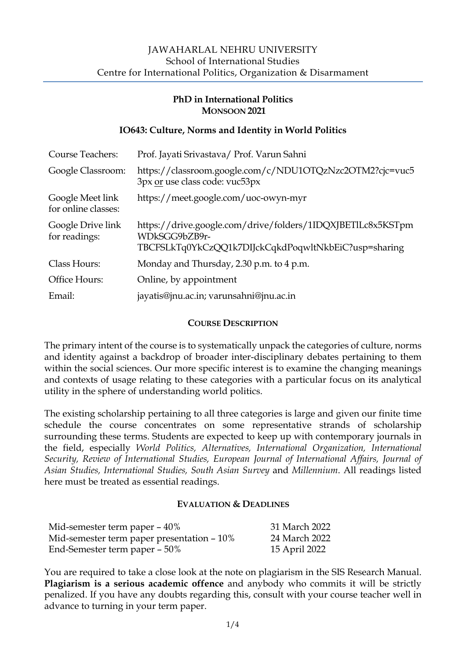# **PhD in International Politics MONSOON 2021**

## **IO643: Culture, Norms and Identity in World Politics**

| <b>Course Teachers:</b>                 | Prof. Jayati Srivastava/ Prof. Varun Sahni                                                                                           |
|-----------------------------------------|--------------------------------------------------------------------------------------------------------------------------------------|
| Google Classroom:                       | https://classroom.google.com/c/NDU1OTQzNzc2OTM2?cjc=vuc5<br>3px or use class code: vuc53px                                           |
| Google Meet link<br>for online classes: | https://meet.google.com/uoc-owyn-myr                                                                                                 |
| Google Drive link<br>for readings:      | https://drive.google.com/drive/folders/1IDQXJBETILc8x5KSTpm<br>WDkSGG9bZB9r-<br>TBCFSLkTq0YkCzQQ1k7DIJckCqkdPoqwltNkbEiC?usp=sharing |
| Class Hours:                            | Monday and Thursday, 2.30 p.m. to 4 p.m.                                                                                             |
| Office Hours:                           | Online, by appointment                                                                                                               |
| Email:                                  | jayatis@jnu.ac.in; varunsahni@jnu.ac.in                                                                                              |

### **COURSE DESCRIPTION**

The primary intent of the course is to systematically unpack the categories of culture, norms and identity against a backdrop of broader inter-disciplinary debates pertaining to them within the social sciences. Our more specific interest is to examine the changing meanings and contexts of usage relating to these categories with a particular focus on its analytical utility in the sphere of understanding world politics.

The existing scholarship pertaining to all three categories is large and given our finite time schedule the course concentrates on some representative strands of scholarship surrounding these terms. Students are expected to keep up with contemporary journals in the field, especially *World Politics, Alternatives, International Organization, International Security, Review of International Studies, European Journal of International Affairs, Journal of Asian Studies, International Studies, South Asian Survey* and *Millennium*. All readings listed here must be treated as essential readings.

### **EVALUATION & DEADLINES**

| Mid-semester term paper - 40%              | 31 March 2022 |
|--------------------------------------------|---------------|
| Mid-semester term paper presentation - 10% | 24 March 2022 |
| End-Semester term paper – 50%              | 15 April 2022 |

You are required to take a close look at the note on plagiarism in the SIS Research Manual. **Plagiarism is a serious academic offence** and anybody who commits it will be strictly penalized. If you have any doubts regarding this, consult with your course teacher well in advance to turning in your term paper.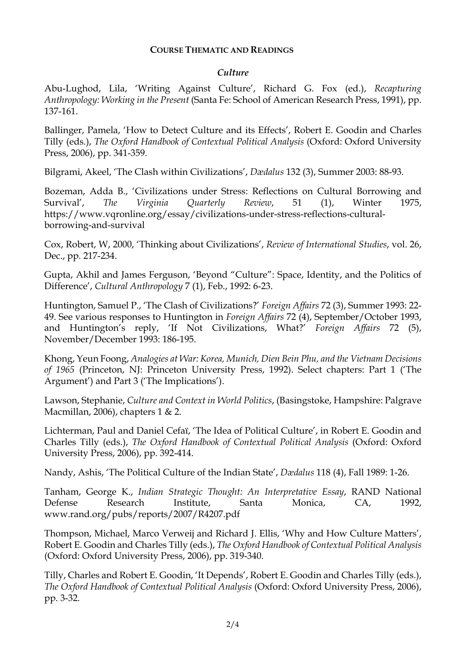#### **COURSE THEMATIC AND READINGS**

#### *Culture*

Abu-Lughod, Lila, 'Writing Against Culture', Richard G. Fox (ed.), *Recapturing Anthropology: Working in the Present* (Santa Fe: School of American Research Press, 1991), pp. 137-161.

Ballinger, Pamela, 'How to Detect Culture and its Effects', Robert E. Goodin and Charles Tilly (eds.), *The Oxford Handbook of Contextual Political Analysis* (Oxford: Oxford University Press, 2006), pp. 341-359.

Bilgrami, Akeel, 'The Clash within Civilizations', *Dædalus* 132 (3), Summer 2003: 88-93.

Bozeman, Adda B., 'Civilizations under Stress: Reflections on Cultural Borrowing and Survival', *The Virginia Quarterly Review*, 51 (1), Winter 1975, https://www.vqronline.org/essay/civilizations-under-stress-reflections-culturalborrowing-and-survival

Cox, Robert, W, 2000, 'Thinking about Civilizations', *Review of International Studies*, vol. 26, Dec., pp. 217-234.

Gupta, Akhil and James Ferguson, 'Beyond "Culture": Space, Identity, and the Politics of Difference', *Cultural Anthropology* 7 (1), Feb., 1992: 6-23.

Huntington, Samuel P., 'The Clash of Civilizations?' *Foreign Affairs* 72 (3), Summer 1993: 22- 49. See various responses to Huntington in *Foreign Affairs* 72 (4), September/October 1993, and Huntington's reply, 'If Not Civilizations, What?' *Foreign Affairs* 72 (5), November/December 1993: 186-195.

Khong, Yeun Foong, *Analogies at War: Korea, Munich, Dien Bein Phu, and the Vietnam Decisions of 1965* (Princeton, NJ: Princeton University Press, 1992). Select chapters: Part 1 ('The Argument') and Part 3 ('The Implications').

Lawson, Stephanie, *Culture and Context in World Politics*, (Basingstoke, Hampshire: Palgrave Macmillan, 2006), chapters 1 & 2.

Lichterman, Paul and Daniel Cefaï, 'The Idea of Political Culture', in Robert E. Goodin and Charles Tilly (eds.), *The Oxford Handbook of Contextual Political Analysis* (Oxford: Oxford University Press, 2006), pp. 392-414.

Nandy, Ashis, 'The Political Culture of the Indian State', *Dædalus* 118 (4), Fall 1989: 1-26.

Tanham, George K., *Indian Strategic Thought: An Interpretative Essay*, RAND National Defense Research Institute, Santa Monica, CA, 1992, www.rand.org/pubs/reports/2007/R4207.pdf

Thompson, Michael, Marco Verweij and Richard J. Ellis, 'Why and How Culture Matters', Robert E. Goodin and Charles Tilly (eds.), *The Oxford Handbook of Contextual Political Analysis* (Oxford: Oxford University Press, 2006), pp. 319-340.

Tilly, Charles and Robert E. Goodin, 'It Depends', Robert E. Goodin and Charles Tilly (eds.), *The Oxford Handbook of Contextual Political Analysis* (Oxford: Oxford University Press, 2006), pp. 3-32.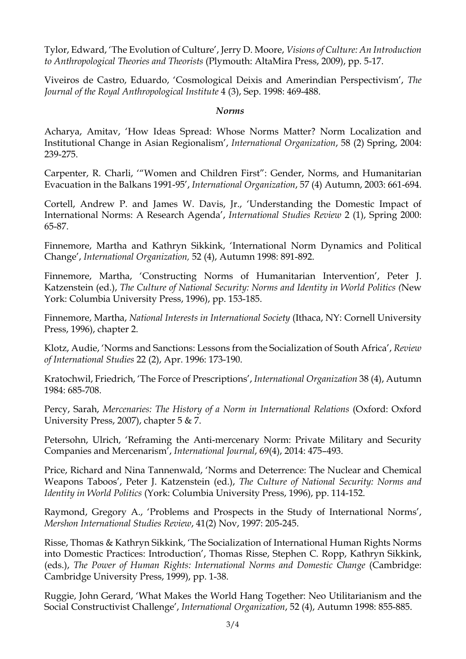Tylor, Edward, 'The Evolution of Culture', Jerry D. Moore, *Visions of Culture: An Introduction to Anthropological Theories and Theorists* (Plymouth: AltaMira Press, 2009), pp. 5-17.

Viveiros de Castro, Eduardo, 'Cosmological Deixis and Amerindian Perspectivism', *The Journal of the Royal Anthropological Institute* 4 (3), Sep. 1998: 469-488.

#### *Norms*

Acharya, Amitav, 'How Ideas Spread: Whose Norms Matter? Norm Localization and Institutional Change in Asian Regionalism', *International Organization*, 58 (2) Spring, 2004: 239-275.

Carpenter, R. Charli, '"Women and Children First": Gender, Norms, and Humanitarian Evacuation in the Balkans 1991-95', *International Organization*, 57 (4) Autumn, 2003: 661-694.

Cortell, Andrew P. and James W. Davis, Jr., 'Understanding the Domestic Impact of International Norms: A Research Agenda', *International Studies Review* 2 (1), Spring 2000: 65-87.

Finnemore, Martha and Kathryn Sikkink, 'International Norm Dynamics and Political Change', *International Organization,* 52 (4), Autumn 1998: 891-892.

Finnemore, Martha, 'Constructing Norms of Humanitarian Intervention', Peter J. Katzenstein (ed.), *The Culture of National Security: Norms and Identity in World Politics (*New York: Columbia University Press, 1996), pp. 153-185.

Finnemore, Martha, *National Interests in International Society* (Ithaca, NY: Cornell University Press, 1996), chapter 2.

Klotz, Audie, 'Norms and Sanctions: Lessons from the Socialization of South Africa', *Review of International Studies* 22 (2), Apr. 1996: 173-190.

Kratochwil, Friedrich, 'The Force of Prescriptions', *International Organization* 38 (4), Autumn 1984: 685-708.

Percy, Sarah, *Mercenaries: The History of a Norm in International Relations* (Oxford: Oxford University Press, 2007), chapter 5 & 7.

Petersohn, Ulrich, 'Reframing the Anti-mercenary Norm: Private Military and Security Companies and Mercenarism', *International Journal*, 69(4), 2014: 475–493.

Price, Richard and Nina Tannenwald, 'Norms and Deterrence: The Nuclear and Chemical Weapons Taboos', Peter J. Katzenstein (ed.), *The Culture of National Security: Norms and Identity in World Politics* (York: Columbia University Press, 1996), pp. 114-152.

Raymond, Gregory A., 'Problems and Prospects in the Study of International Norms', *Mershon International Studies Review*, 41(2) Nov, 1997: 205-245.

Risse, Thomas & Kathryn Sikkink, 'The Socialization of International Human Rights Norms into Domestic Practices: Introduction', Thomas Risse, Stephen C. Ropp, Kathryn Sikkink, (eds.), *The Power of Human Rights: International Norms and Domestic Change* (Cambridge: Cambridge University Press, 1999), pp. 1-38.

Ruggie, John Gerard, 'What Makes the World Hang Together: Neo Utilitarianism and the Social Constructivist Challenge', *International Organization*, 52 (4), Autumn 1998: 855-885.